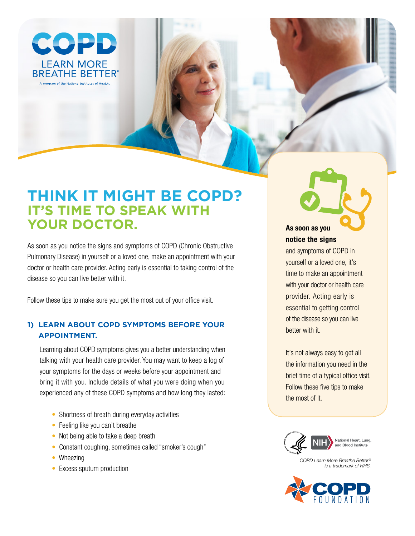

# **Think iT mighT be COPD? IT'S TIME TO SPEAK WITH yOur DOCTOr.**

As soon as you notice the signs and symptoms of COPD (Chronic Obstructive Pulmonary Disease) in yourself or a loved one, make an appointment with your doctor or health care provider. Acting early is essential to taking control of the disease so you can live better with it.

Follow these tips to make sure you get the most out of your office visit.

# **1) Learn abOuT COPD symPTOms befOre yOur aPPOinTmenT.**

Learning about COPD symptoms gives you a better understanding when talking with your health care provider. You may want to keep a log of your symptoms for the days or weeks before your appointment and bring it with you. Include details of what you were doing when you experienced any of these COPD symptoms and how long they lasted:

- Shortness of breath during everyday activities
- Feeling like you can't breathe
- Not being able to take a deep breath
- Constant coughing, sometimes called "smoker's cough"
- Wheezing
- Excess sputum production

**As soon as you notice the signs**

and symptoms of COPD in yourself or a loved one, it's time to make an appointment with your doctor or health care provider. Acting early is essential to getting control of the disease so you can live better with it.

It's not always easy to get all the information you need in the brief time of a typical office visit. Follow these five tips to make the most of it.



National Heart, Lung. and Blood Institute

*COPD Learn More Breathe Better® is a trademark of HHS.*